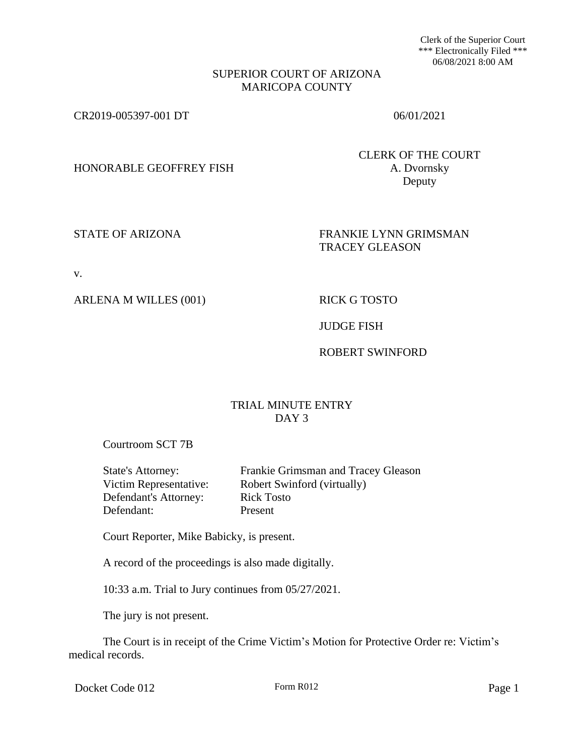Clerk of the Superior Court \*\*\* Electronically Filed \*\*\* 06/08/2021 8:00 AM

#### SUPERIOR COURT OF ARIZONA MARICOPA COUNTY

CR2019-005397-001 DT 06/01/2021

HONORABLE GEOFFREY FISH A. Dvornsky

CLERK OF THE COURT Deputy

STATE OF ARIZONA FRANKIE LYNN GRIMSMAN TRACEY GLEASON

v.

ARLENA M WILLES (001) RICK G TOSTO

JUDGE FISH

ROBERT SWINFORD

# TRIAL MINUTE ENTRY DAY<sub>3</sub>

Courtroom SCT 7B

Defendant's Attorney: Rick Tosto Defendant: Present

State's Attorney: Frankie Grimsman and Tracey Gleason Victim Representative: Robert Swinford (virtually)

Court Reporter, Mike Babicky, is present.

A record of the proceedings is also made digitally.

10:33 a.m. Trial to Jury continues from 05/27/2021.

The jury is not present.

The Court is in receipt of the Crime Victim's Motion for Protective Order re: Victim's medical records.

Docket Code 012 Form R012 Form R012 Page 1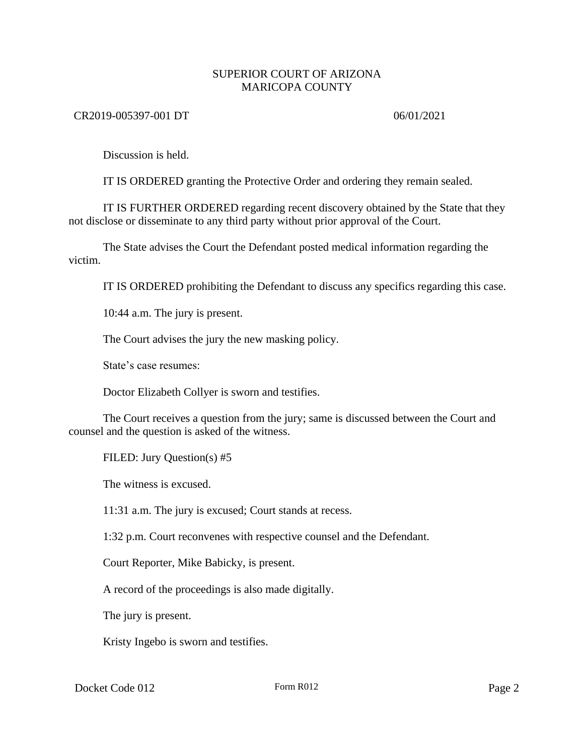## SUPERIOR COURT OF ARIZONA MARICOPA COUNTY

## CR2019-005397-001 DT 06/01/2021

Discussion is held.

IT IS ORDERED granting the Protective Order and ordering they remain sealed.

IT IS FURTHER ORDERED regarding recent discovery obtained by the State that they not disclose or disseminate to any third party without prior approval of the Court.

The State advises the Court the Defendant posted medical information regarding the victim.

IT IS ORDERED prohibiting the Defendant to discuss any specifics regarding this case.

10:44 a.m. The jury is present.

The Court advises the jury the new masking policy.

State's case resumes:

Doctor Elizabeth Collyer is sworn and testifies.

The Court receives a question from the jury; same is discussed between the Court and counsel and the question is asked of the witness.

FILED: Jury Question(s) #5

The witness is excused.

11:31 a.m. The jury is excused; Court stands at recess.

1:32 p.m. Court reconvenes with respective counsel and the Defendant.

Court Reporter, Mike Babicky, is present.

A record of the proceedings is also made digitally.

The jury is present.

Kristy Ingebo is sworn and testifies.